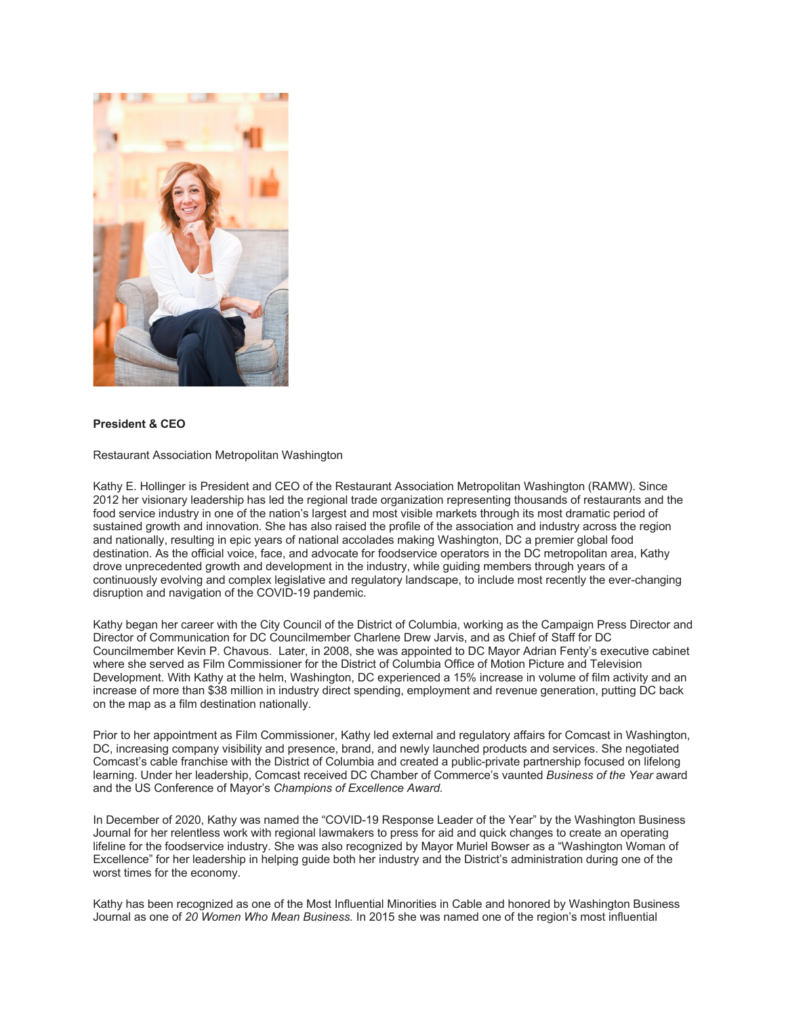

## **President & CEO**

Restaurant Association Metropolitan Washington

Kathy E. Hollinger is President and CEO of the Restaurant Association Metropolitan Washington (RAMW). Since 2012 her visionary leadership has led the regional trade organization representing thousands of restaurants and the food service industry in one of the nation's largest and most visible markets through its most dramatic period of sustained growth and innovation. She has also raised the profile of the association and industry across the region and nationally, resulting in epic years of national accolades making Washington, DC a premier global food destination. As the official voice, face, and advocate for foodservice operators in the DC metropolitan area, Kathy drove unprecedented growth and development in the industry, while guiding members through years of a continuously evolving and complex legislative and regulatory landscape, to include most recently the ever-changing disruption and navigation of the COVID-19 pandemic.

Kathy began her career with the City Council of the District of Columbia, working as the Campaign Press Director and Director of Communication for DC Councilmember Charlene Drew Jarvis, and as Chief of Staff for DC Councilmember Kevin P. Chavous. Later, in 2008, she was appointed to DC Mayor Adrian Fenty's executive cabinet where she served as Film Commissioner for the District of Columbia Office of Motion Picture and Television Development. With Kathy at the helm, Washington, DC experienced a 15% increase in volume of film activity and an increase of more than \$38 million in industry direct spending, employment and revenue generation, putting DC back on the map as a film destination nationally.

Prior to her appointment as Film Commissioner, Kathy led external and regulatory affairs for Comcast in Washington, DC, increasing company visibility and presence, brand, and newly launched products and services. She negotiated Comcast's cable franchise with the District of Columbia and created a public-private partnership focused on lifelong learning. Under her leadership, Comcast received DC Chamber of Commerce's vaunted *Business of the Year* award and the US Conference of Mayor's *Champions of Excellence Award.* 

In December of 2020, Kathy was named the "COVID-19 Response Leader of the Year" by the Washington Business Journal for her relentless work with regional lawmakers to press for aid and quick changes to create an operating lifeline for the foodservice industry. She was also recognized by Mayor Muriel Bowser as a "Washington Woman of Excellence" for her leadership in helping guide both her industry and the District's administration during one of the worst times for the economy.

Kathy has been recognized as one of the Most Influential Minorities in Cable and honored by Washington Business Journal as one of *20 Women Who Mean Business.* In 2015 she was named one of the region's most influential